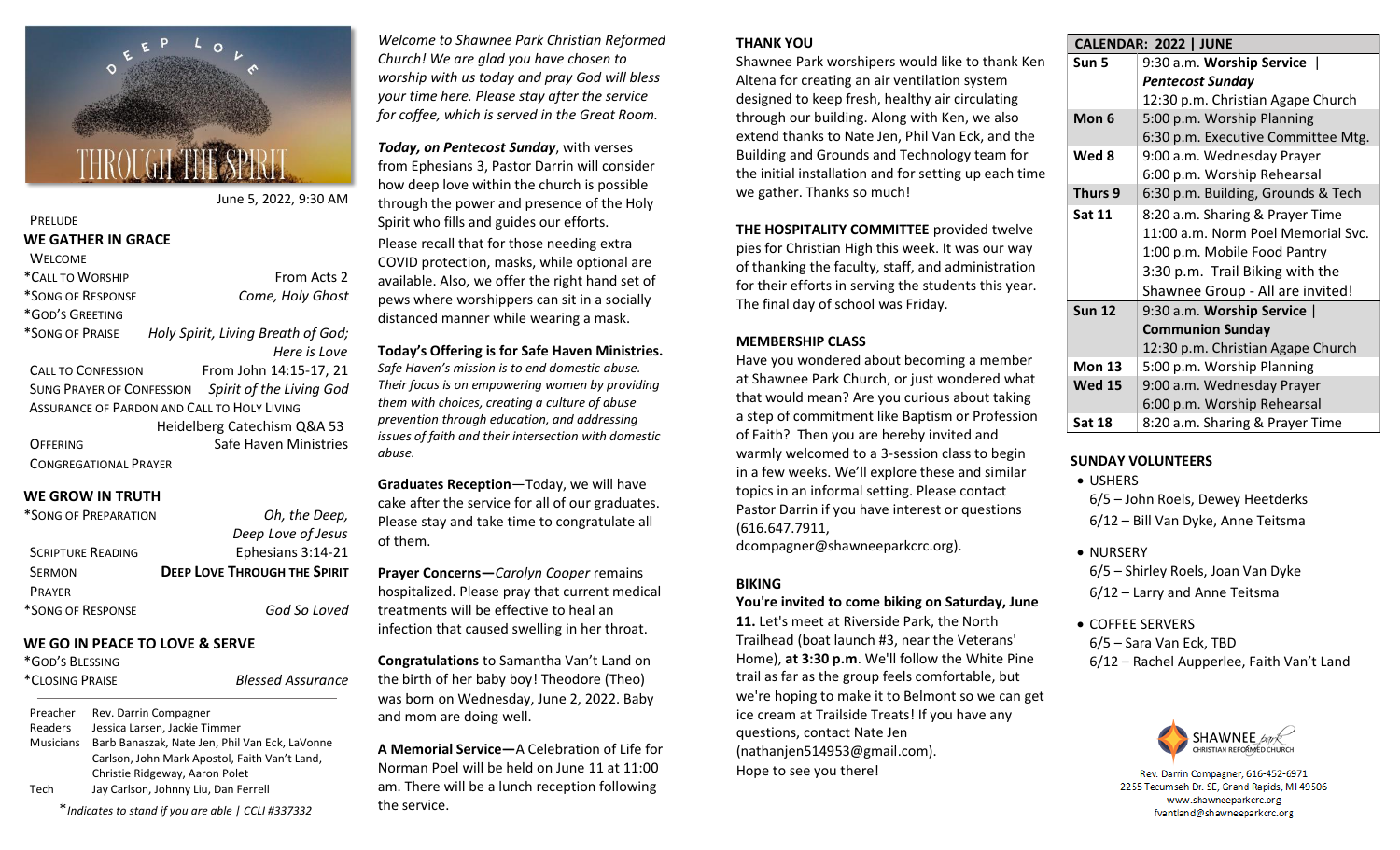

June 5, 2022, 9:30 AM

**Blessed Assurance** 

### **PRELUDE WE GATHER IN GRACE WELCOME** \*CALL TO WORSHIP FROM Acts 2 \*SONG OF RESPONSE *Come, Holy Ghost* \*GOD'S GREETING

\*SONG OF PRAISE *Holy Spirit, Living Breath of God; Here is Love* 

CALL TO CONFESSION From John 14:15-17, 21 SUNG PRAYER OF CONFESSION *Spirit of the Living God* ASSURANCE OF PARDON AND CALL TO HOLY LIVING Heidelberg Catechism Q&A 53 OFFERING Safe Haven Ministries CONGREGATIONAL PRAYER

### **WE GROW IN TRUTH**

| *SONG OF PREPARATION     | Oh, the Deep,                       |
|--------------------------|-------------------------------------|
|                          | Deep Love of Jesus                  |
| <b>SCRIPTURE READING</b> | Ephesians 3:14-21                   |
| <b>SERMON</b>            | <b>DEEP LOVE THROUGH THE SPIRIT</b> |
| <b>PRAYER</b>            |                                     |
| *SONG OF RESPONSE        | God So Loved                        |

#### **WE GO IN PEACE TO LOVE & SERVE**

| *GOD'S BLESSING |  |
|-----------------|--|
| *CLOSING PRAISE |  |

Preacher Rev. Darrin Compagner Readers Jessica Larsen, Jackie Timmer Musicians Barb Banaszak, Nate Jen, Phil Van Eck, LaVonne Carlson, John Mark Apostol, Faith Van't Land, Christie Ridgeway, Aaron Polet Tech Jay Carlson, Johnny Liu, Dan Ferrell

\**Indicates to stand if you are able | CCLI #337332*

*Welcome to Shawnee Park Christian Reformed Church! We are glad you have chosen to worship with us today and pray God will bless your time here. Please stay after the service for coffee, which is served in the Great Room.*

*Today, on Pentecost Sunday*, with verses from Ephesians 3, Pastor Darrin will consider how deep love within the church is possible through the power and presence of the Holy Spirit who fills and guides our efforts. Please recall that for those needing extra COVID protection, masks, while optional are available. Also, we offer the right hand set of pews where worshippers can sit in a socially distanced manner while wearing a mask.

#### **Today's Offering is for Safe Haven Ministries.** *Safe Haven's mission is to end domestic abuse. Their focus is on empowering women by providing them with choices, creating a culture of abuse prevention through education, and addressing issues of faith and their intersection with domestic abuse.*

**Graduates Reception**—Today, we will have cake after the service for all of our graduates. Please stay and take time to congratulate all of them.

**Prayer Concerns—***Carolyn Cooper* remains hospitalized. Please pray that current medical treatments will be effective to heal an infection that caused swelling in her throat.

**Congratulations** to Samantha Van't Land on the birth of her baby boy! Theodore (Theo) was born on Wednesday, June 2, 2022. Baby and mom are doing well.

**A Memorial Service—**A Celebration of Life for Norman Poel will be held on June 11 at 11:00 am. There will be a lunch reception following the service.

## **THANK YOU**

Shawnee Park worshipers would like to thank Ken Altena for creating an air ventilation system designed to keep fresh, healthy air circulating through our building. Along with Ken, we also extend thanks to Nate Jen, Phil Van Eck, and the Building and Grounds and Technology team for the initial installation and for setting up each time we gather. Thanks so much!

**THE HOSPITALITY COMMITTEE** provided twelve pies for Christian High this week. It was our way of thanking the faculty, staff, and administration for their efforts in serving the students this year. The final day of school was Friday.

## **MEMBERSHIP CLASS**

Have you wondered about becoming a member at Shawnee Park Church, or just wondered what that would mean? Are you curious about taking a step of commitment like Baptism or Profession of Faith? Then you are hereby invited and warmly welcomed to a 3-session class to begin in a few weeks. We'll explore these and similar topics in an informal setting. Please contact Pastor Darrin if you have interest or questions (616.647.7911,

dcompagner@shawneeparkcrc.org).

## **BIKING**

### **You're invited to come biking on Saturday, June**

**11.** Let's meet at Riverside Park, the North Trailhead (boat launch #3, near the Veterans' Home), **at 3:30 p.m**. We'll follow the White Pine trail as far as the group feels comfortable, but we're hoping to make it to Belmont so we can get ice cream at Trailside Treats! If you have any questions, contact Nate Jen (nathanjen514953@gmail.com). Hope to see you there!

|--|

| Sun 5         | 9:30 a.m. Worship Service          |
|---------------|------------------------------------|
|               | <b>Pentecost Sunday</b>            |
|               | 12:30 p.m. Christian Agape Church  |
| Mon 6         | 5:00 p.m. Worship Planning         |
|               | 6:30 p.m. Executive Committee Mtg. |
| Wed 8         | 9:00 a.m. Wednesday Prayer         |
|               | 6:00 p.m. Worship Rehearsal        |
| Thurs 9       | 6:30 p.m. Building, Grounds & Tech |
| Sat 11        | 8:20 a.m. Sharing & Prayer Time    |
|               | 11:00 a.m. Norm Poel Memorial Svc. |
|               | 1:00 p.m. Mobile Food Pantry       |
|               | 3:30 p.m. Trail Biking with the    |
|               | Shawnee Group - All are invited!   |
| <b>Sun 12</b> | 9:30 a.m. Worship Service          |
|               | <b>Communion Sunday</b>            |
|               | 12:30 p.m. Christian Agape Church  |
| Mon 13        | 5:00 p.m. Worship Planning         |
| <b>Wed 15</b> | 9:00 a.m. Wednesday Prayer         |
|               | 6:00 p.m. Worship Rehearsal        |
| Sat 18        | 8:20 a.m. Sharing & Prayer Time    |

# **SUNDAY VOLUNTEERS**

• USHERS

6/5 – John Roels, Dewey Heetderks 6/12 – Bill Van Dyke, Anne Teitsma

- NURSERY
- 6/5 Shirley Roels, Joan Van Dyke 6/12 – Larry and Anne Teitsma
- COFFEE SERVERS 6/5 – Sara Van Eck, TBD 6/12 – Rachel Aupperlee, Faith Van't Land



Rev. Darrin Compagner, 616-452-6971 2255 Tecumseh Dr. SE, Grand Rapids, MI 49506 www.shawneeparkcrc.org fvantland@shawneeparkcrc.org